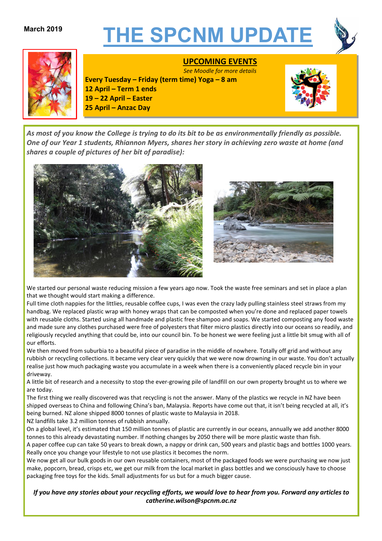# **March 2019 THE SPCNM UPDATE**





# **UPCOMING EVENTS**

*See Moodle for more details* **Every Tuesday – Friday (term time) Yoga – 8 am 12 April – Term 1 ends 19 – 22 April – Easter 25 April – Anzac Day**



*As most of you know the College is trying to do its bit to be as environmentally friendly as possible. One of our Year 1 students, Rhiannon Myers, shares her story in achieving zero waste at home (and shares a couple of pictures of her bit of paradise):*





We started our personal waste reducing mission a few years ago now. Took the waste free seminars and set in place a plan that we thought would start making a difference.

Full time cloth nappies for the littlies, reusable coffee cups, I was even the crazy lady pulling stainless steel straws from my handbag. We replaced plastic wrap with honey wraps that can be composted when you're done and replaced paper towels with reusable cloths. Started using all handmade and plastic free shampoo and soaps. We started composting any food waste and made sure any clothes purchased were free of polyesters that filter micro plastics directly into our oceans so readily, and religiously recycled anything that could be, into our council bin. To be honest we were feeling just a little bit smug with all of our efforts.

We then moved from suburbia to a beautiful piece of paradise in the middle of nowhere. Totally off grid and without any rubbish or recycling collections. It became very clear very quickly that we were now drowning in our waste. You don't actually realise just how much packaging waste you accumulate in a week when there is a conveniently placed recycle bin in your driveway.

A little bit of research and a necessity to stop the ever-growing pile of landfill on our own property brought us to where we are today.

The first thing we really discovered was that recycling is not the answer. Many of the plastics we recycle in NZ have been shipped overseas to China and following China's ban, Malaysia. Reports have come out that, it isn't being recycled at all, it's being burned. NZ alone shipped 8000 tonnes of plastic waste to Malaysia in 2018.

NZ landfills take 3.2 million tonnes of rubbish annually.

On a global level, it's estimated that 150 million tonnes of plastic are currently in our oceans, annually we add another 8000 tonnes to this already devastating number. If nothing changes by 2050 there will be more plastic waste than fish.

A paper coffee cup can take 50 years to break down, a nappy or drink can, 500 years and plastic bags and bottles 1000 years. Really once you change your lifestyle to not use plastics it becomes the norm.

We now get all our bulk goods in our own reusable containers, most of the packaged foods we were purchasing we now just make, popcorn, bread, crisps etc, we get our milk from the local market in glass bottles and we consciously have to choose packaging free toys for the kids. Small adjustments for us but for a much bigger cause.

If you have any stories about your recycling efforts, we would love to hear from you. Forward any articles to *catherine.wilson@spcnm.ac.nz*